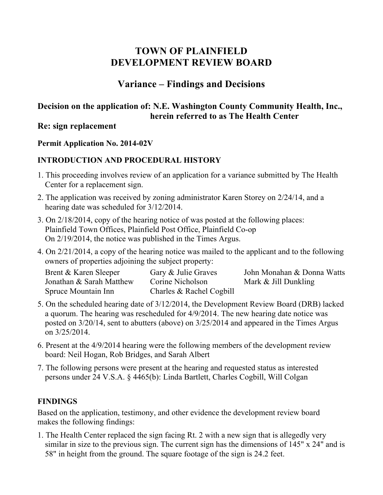# **TOWN OF PLAINFIELD DEVELOPMENT REVIEW BOARD**

# **Variance – Findings and Decisions**

## **Decision on the application of: N.E. Washington County Community Health, Inc., herein referred to as The Health Center**

**Re: sign replacement**

#### **Permit Application No. 2014-02V**

### **INTRODUCTION AND PROCEDURAL HISTORY**

- 1. This proceeding involves review of an application for a variance submitted by The Health Center for a replacement sign.
- 2. The application was received by zoning administrator Karen Storey on 2/24/14, and a hearing date was scheduled for 3/12/2014.
- 3. On 2/18/2014, copy of the hearing notice of was posted at the following places: Plainfield Town Offices, Plainfield Post Office, Plainfield Co-op On 2/19/2014, the notice was published in the Times Argus.
- 4. On 2/21/2014, a copy of the hearing notice was mailed to the applicant and to the following owners of properties adjoining the subject property:

| Brent & Karen Sleeper    | Gary & Julie Graves      | John Monahan & Donna Watts |
|--------------------------|--------------------------|----------------------------|
| Jonathan & Sarah Matthew | Corine Nicholson         | Mark $&$ Jill Dunkling     |
| Spruce Mountain Inn      | Charles & Rachel Cogbill |                            |

- 5. On the scheduled hearing date of 3/12/2014, the Development Review Board (DRB) lacked a quorum. The hearing was rescheduled for 4/9/2014. The new hearing date notice was posted on 3/20/14, sent to abutters (above) on 3/25/2014 and appeared in the Times Argus on 3/25/2014.
- 6. Present at the 4/9/2014 hearing were the following members of the development review board: Neil Hogan, Rob Bridges, and Sarah Albert
- 7. The following persons were present at the hearing and requested status as interested persons under 24 V.S.A. § 4465(b): Linda Bartlett, Charles Cogbill, Will Colgan

#### **FINDINGS**

Based on the application, testimony, and other evidence the development review board makes the following findings:

1. The Health Center replaced the sign facing Rt. 2 with a new sign that is allegedly very similar in size to the previous sign. The current sign has the dimensions of 145" x 24" and is 58" in height from the ground. The square footage of the sign is 24.2 feet.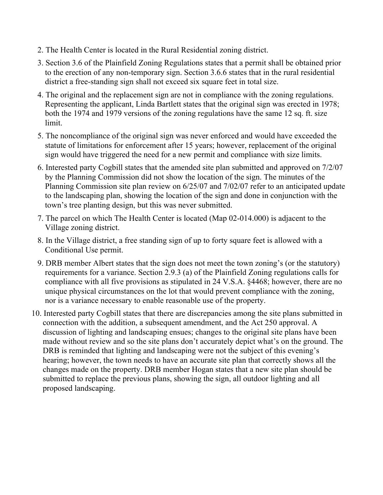- 2. The Health Center is located in the Rural Residential zoning district.
- 3. Section 3.6 of the Plainfield Zoning Regulations states that a permit shall be obtained prior to the erection of any non-temporary sign. Section 3.6.6 states that in the rural residential district a free-standing sign shall not exceed six square feet in total size.
- 4. The original and the replacement sign are not in compliance with the zoning regulations. Representing the applicant, Linda Bartlett states that the original sign was erected in 1978; both the 1974 and 1979 versions of the zoning regulations have the same 12 sq. ft. size limit.
- 5. The noncompliance of the original sign was never enforced and would have exceeded the statute of limitations for enforcement after 15 years; however, replacement of the original sign would have triggered the need for a new permit and compliance with size limits.
- 6. Interested party Cogbill states that the amended site plan submitted and approved on 7/2/07 by the Planning Commission did not show the location of the sign. The minutes of the Planning Commission site plan review on 6/25/07 and 7/02/07 refer to an anticipated update to the landscaping plan, showing the location of the sign and done in conjunction with the town's tree planting design, but this was never submitted.
- 7. The parcel on which The Health Center is located (Map 02-014.000) is adjacent to the Village zoning district.
- 8. In the Village district, a free standing sign of up to forty square feet is allowed with a Conditional Use permit.
- 9. DRB member Albert states that the sign does not meet the town zoning's (or the statutory) requirements for a variance. Section 2.9.3 (a) of the Plainfield Zoning regulations calls for compliance with all five provisions as stipulated in 24 V.S.A. §4468; however, there are no unique physical circumstances on the lot that would prevent compliance with the zoning, nor is a variance necessary to enable reasonable use of the property.
- 10. Interested party Cogbill states that there are discrepancies among the site plans submitted in connection with the addition, a subsequent amendment, and the Act 250 approval. A discussion of lighting and landscaping ensues; changes to the original site plans have been made without review and so the site plans don't accurately depict what's on the ground. The DRB is reminded that lighting and landscaping were not the subject of this evening's hearing; however, the town needs to have an accurate site plan that correctly shows all the changes made on the property. DRB member Hogan states that a new site plan should be submitted to replace the previous plans, showing the sign, all outdoor lighting and all proposed landscaping.